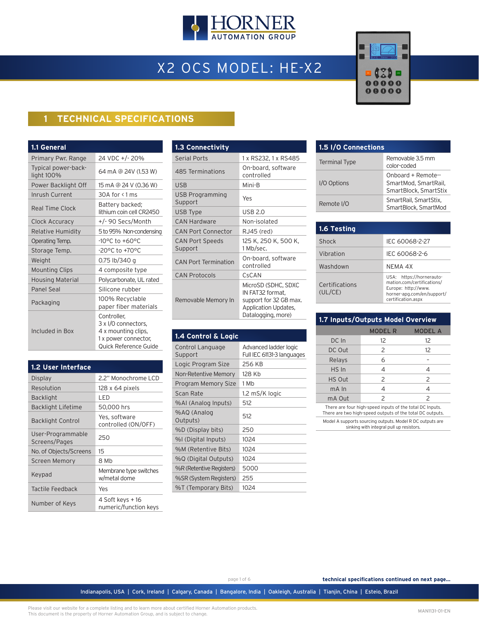

# X2 OCS MODEL: HE-X2



## **1 TECHNICAL SPECIFICATIONS**

| 1.1 General                       |                                                                                                            |
|-----------------------------------|------------------------------------------------------------------------------------------------------------|
| Primary Pwr. Range                | 24 VDC +/- 20%                                                                                             |
| Typical power-back-<br>light 100% | 64 mA @ 24V (1.53 W)                                                                                       |
| Power Backlight Off               | 15 mA @ 24 V (0.36 W)                                                                                      |
| Inrush Current                    | $30A$ for $\leq 1$ ms                                                                                      |
| Real Time Clock                   | Battery backed;<br>lithium coin cell CR2450                                                                |
| Clock Accuracy                    | +/-90 Secs/Month                                                                                           |
| Relative Humidity                 | 5 to 95% Non-condensing                                                                                    |
| Operating Temp.                   | $-10^{\circ}$ C to $+60^{\circ}$ C                                                                         |
| Storage Temp.                     | -20°C to +70°C                                                                                             |
| Weight                            | 0.75 lb/340 g                                                                                              |
| <b>Mounting Clips</b>             | 4 composite type                                                                                           |
| <b>Housing Material</b>           | Polycarbonate, UL rated                                                                                    |
| <b>Panel Seal</b>                 | Silicone rubber                                                                                            |
| Packaging                         | 100% Recyclable<br>paper fiber materials                                                                   |
| Included in Box                   | Controller,<br>3 x I/O connectors,<br>4 x mounting clips,<br>1 x power connector,<br>Quick Reference Guide |

| <b>1.2 User Interface</b>          |                                           |
|------------------------------------|-------------------------------------------|
| <b>Display</b>                     | 2.2" Monochrome LCD                       |
| Resolution                         | 128 x 64 pixels                           |
| <b>Backlight</b>                   | LED                                       |
| <b>Backlight Lifetime</b>          | 50,000 hrs                                |
| <b>Backlight Control</b>           | Yes, software<br>controlled (ON/OFF)      |
| User-Programmable<br>Screens/Pages | 250                                       |
| No. of Objects/Screens             | 15                                        |
| Screen Memory                      | 8 Mb                                      |
| Keypad                             | Membrane type switches<br>w/metal dome    |
| Tactile Feedback                   | Yes                                       |
| Number of Keys                     | 4 Soft keys + 16<br>numeric/function keys |

| 1.3 Connectivity                  |                                                                                                                 |
|-----------------------------------|-----------------------------------------------------------------------------------------------------------------|
| <b>Serial Ports</b>               | 1 x RS232, 1 x RS485                                                                                            |
| 485 Terminations                  | On-board, software<br>controlled                                                                                |
| <b>USB</b>                        | Mini-B                                                                                                          |
| USB Programming<br>Support        | Yes                                                                                                             |
| USB Type                          | <b>USB 2.0</b>                                                                                                  |
| CAN Hardware                      | Non-isolated                                                                                                    |
| <b>CAN Port Connector</b>         | RJ45 (red)                                                                                                      |
| <b>CAN Port Speeds</b><br>Support | 125 K, 250 K, 500 K,<br>1 Mb/sec.                                                                               |
| <b>CAN Port Termination</b>       | On-board, software<br>controlled                                                                                |
| CAN Protocols                     | CsCAN                                                                                                           |
| Removable Memory In               | MicroSD (SDHC, SDXC<br>IN FAT32 format,<br>support for 32 GB max.<br>Application Updates,<br>Datalogging, more) |

| 1.4 Control & Logic         |                                                     |
|-----------------------------|-----------------------------------------------------|
| Control Language<br>Support | Advanced ladder logic<br>Full IEC 61131-3 languages |
| Logic Program Size          | 256 KB                                              |
| Non-Retentive Memory        | 128 Kb                                              |
| Program Memory Size         | 1 Mb                                                |
| Scan Rate                   | 1.2 mS/K logic                                      |
| %AI (Analog Inputs)         | 512                                                 |
| %AQ (Analog<br>Outputs)     | 512                                                 |
| %D (Display bits)           | 250                                                 |
| %I (Digital Inputs)         | 1024                                                |
| %M (Retentive Bits)         | 1024                                                |
| %Q (Digital Outputs)        | 1024                                                |
| %R (Retentive Registers)    | 5000                                                |
| %SR (System Registers)      | 255                                                 |
| %T (Temporary Bits)         | 1024                                                |

| 1.5 I/O Connections  |                                                                     |
|----------------------|---------------------------------------------------------------------|
| <b>Terminal Type</b> | Removable 3.5 mm<br>color-coded                                     |
| I/O Options          | Onboard + Remote--<br>SmartMod, SmartRail,<br>SmartBlock, SmartStix |
| Remote I/O           | SmartRail, SmartStix,<br>SmartBlock, SmartMod                       |

| 1.6 Testing               |                                                                                                                                   |
|---------------------------|-----------------------------------------------------------------------------------------------------------------------------------|
| Shock                     | IFC 60068-2-27                                                                                                                    |
| Vibration                 | IEC 60068-2-6                                                                                                                     |
| Washdown                  | NFMA 4X                                                                                                                           |
| Certifications<br>(UL/CE) | USA: https://hornerauto-<br>mation.com/certifications/<br>Europe: http://www.<br>horner-apg.com/en/support/<br>certification.aspx |

| 1.7 Inputs/Outputs Model Overview                                                                                     |                                  |               |
|-----------------------------------------------------------------------------------------------------------------------|----------------------------------|---------------|
|                                                                                                                       | <b>MODEL R</b><br><b>MODEL A</b> |               |
| DC In                                                                                                                 | 12                               | 12            |
| DC Out                                                                                                                | 2                                | 12            |
| Relays                                                                                                                | 6                                |               |
| HS In                                                                                                                 | 4                                | 4             |
| HS Out                                                                                                                | 2<br>2                           |               |
| mA In                                                                                                                 | 4                                | 4             |
| mA Out                                                                                                                | $\mathcal{P}$                    | $\mathcal{P}$ |
| There are four high-speed inputs of the total DC Inputs.<br>There are two high-speed outputs of the total DC outputs. |                                  |               |

Model A supports sourcing outputs. Model R DC outputs are sinking with integral pull up resistors.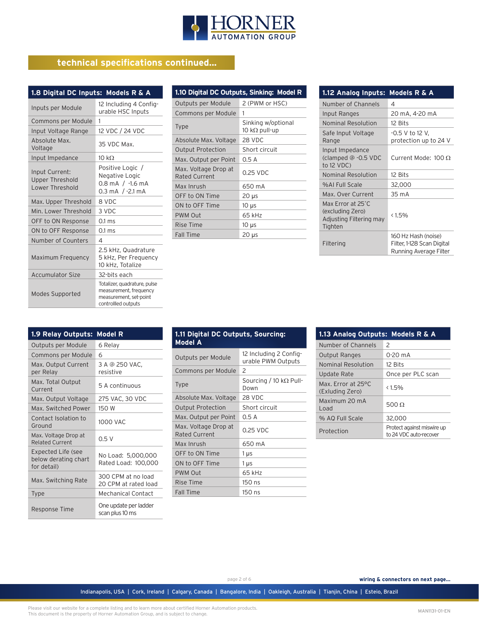

## **technical specifications continued...**

| 1.8 Digital DC Inputs: Models R & A                  |                                                                                                         |  |
|------------------------------------------------------|---------------------------------------------------------------------------------------------------------|--|
| Inputs per Module                                    | 12 Including 4 Config-<br>urable HSC Inputs                                                             |  |
| Commons per Module                                   | 1                                                                                                       |  |
| Input Voltage Range                                  | 12 VDC / 24 VDC                                                                                         |  |
| Absolute Max.<br>Voltage                             | 35 VDC Max.                                                                                             |  |
| Input Impedance                                      | 10 kQ                                                                                                   |  |
| Input Current:<br>Upper Threshold<br>Lower Threshold | Positive Logic /<br>Negative Logic<br>$0.8$ mA $/$ -1.6 mA<br>$0.3 \text{ mA}$ / -2.1 mA                |  |
| Max. Upper Threshold                                 | 8 VDC                                                                                                   |  |
| Min. I ower Threshold                                | 3 VDC                                                                                                   |  |
| OFF to ON Response                                   | $0.1 \text{ ms}$                                                                                        |  |
| ON to OFF Response                                   | $0.1 \text{ ms}$                                                                                        |  |
| Number of Counters                                   | 4                                                                                                       |  |
| Maximum Frequency                                    | 2.5 kHz, Quadrature<br>5 kHz, Per Frequency<br>10 kHz, Totalize                                         |  |
| <b>Accumulator Size</b>                              | 32-bits each                                                                                            |  |
| Modes Supported                                      | Totalizer, quadrature, pulse<br>measurement, frequency<br>measurement, set-point<br>controllled outputs |  |

| 1.10 Digital DC Outputs, Sinking: Model R |                                             |  |
|-------------------------------------------|---------------------------------------------|--|
| Outputs per Module                        | 2 (PWM or HSC)                              |  |
| Commons per Module                        | 1                                           |  |
| Type                                      | Sinking w/optional<br>10 k $\Omega$ pull-up |  |
| Absolute Max. Voltage                     | 28 VDC                                      |  |
| <b>Output Protection</b>                  | Short circuit                               |  |
| Max. Output per Point                     | 0.5A                                        |  |
| Max. Voltage Drop at<br>Rated Current     | 0.25 VDC                                    |  |
| Max Inrush                                | 650 mA                                      |  |
| OFF to ON Time                            | $20 \mu s$                                  |  |
| ON to OFF Time                            | 10 <sub>µs</sub>                            |  |
| <b>PWM Out</b>                            | 65 kHz                                      |  |
| Rise Time                                 | $10 \mu s$                                  |  |
| <b>Fall Time</b>                          | $20 \mu s$                                  |  |

| 1.12 Analog Inputs:                                                         | Models R & A                                                                |
|-----------------------------------------------------------------------------|-----------------------------------------------------------------------------|
| Number of Channels                                                          | 4                                                                           |
| Input Ranges                                                                | 20 mA, 4-20 mA                                                              |
| Nominal Resolution                                                          | 12 Bits                                                                     |
| Safe Input Voltage<br>Range                                                 | -0.5 V to 12 V,<br>protection up to 24 V                                    |
| Input Impedance<br>(clamped @ -0.5 VDC<br>to 12 VDC)                        | Current Mode: $100 \Omega$                                                  |
| Nominal Resolution                                                          | 12 Bits                                                                     |
| %ALFull Scale                                                               | 32,000                                                                      |
| Max. Over Current                                                           | 35 m A                                                                      |
| Max Error at 25°C<br>(excluding Zero)<br>Adjusting Filtering may<br>Tighten | <1.5%                                                                       |
| Filtering                                                                   | 160 Hz Hash (noise)<br>Filter, 1-128 Scan Digital<br>Running Average Filter |

| 1.9 Relay Outputs:                                        | Model R                                    |
|-----------------------------------------------------------|--------------------------------------------|
| Outputs per Module                                        | 6 Relay                                    |
| Commons per Module                                        | 6                                          |
| Max. Output Current<br>per Relay                          | 3 A @ 250 VAC,<br>resistive                |
| Max. Total Output<br>Current                              | 5 A continuous                             |
| Max. Output Voltage                                       | 275 VAC, 30 VDC                            |
| Max. Switched Power                                       | 150 W                                      |
| Contact Isolation to<br>Ground                            | <b>1000 VAC</b>                            |
| Max. Voltage Drop at<br><b>Related Current</b>            | 0.5 V                                      |
| Expected Life (see<br>below derating chart<br>for detail) | No Load: 5,000,000<br>Rated Load: 100,000  |
| Max. Switching Rate                                       | 300 CPM at no load<br>20 CPM at rated load |
| <b>Type</b>                                               | <b>Mechanical Contact</b>                  |
| <b>Response Time</b>                                      | One update per ladder<br>scan plus 10 ms   |

| 1.11 Digital DC Outputs, Sourcing:<br><b>Model A</b> |                                              |
|------------------------------------------------------|----------------------------------------------|
| Outputs per Module                                   | 12 Including 2 Config-<br>urable PWM Outputs |
| Commons per Module                                   | 2                                            |
| Type                                                 | Sourcing / 10 k $\Omega$ Pull-<br>Down       |
| Absolute Max. Voltage                                | 28 VDC                                       |
| <b>Output Protection</b>                             | Short circuit                                |
| Max. Output per Point                                | 0.5A                                         |
| Max. Voltage Drop at<br>Rated Current                | 0.25 VDC                                     |
| Max Inrush                                           | 650 mA                                       |
| OFF to ON Time                                       | 1 µs                                         |
| ON to OFF Time                                       | 1 µs                                         |
| <b>PWM Out</b>                                       | 65 kHz                                       |
| Rise Time                                            | 150 ns                                       |
| <b>Fall Time</b>                                     | $150$ ns                                     |

| 1.13 Analog Outputs: Models R & A     |                                                      |
|---------------------------------------|------------------------------------------------------|
| Number of Channels                    | $\mathcal{P}$                                        |
| <b>Output Ranges</b>                  | 0-20 mA                                              |
| Nominal Resolution                    | 12 Bits                                              |
| Update Rate                           | Once per PLC scan                                    |
| Max. Error at 25°C<br>(Exluding Zero) | < 1.5%                                               |
| Maximum 20 mA<br>heo I                | 500 Q                                                |
| % AQ Full Scale                       | 32,000                                               |
| Protection                            | Protect against miswire up<br>to 24 VDC auto-recover |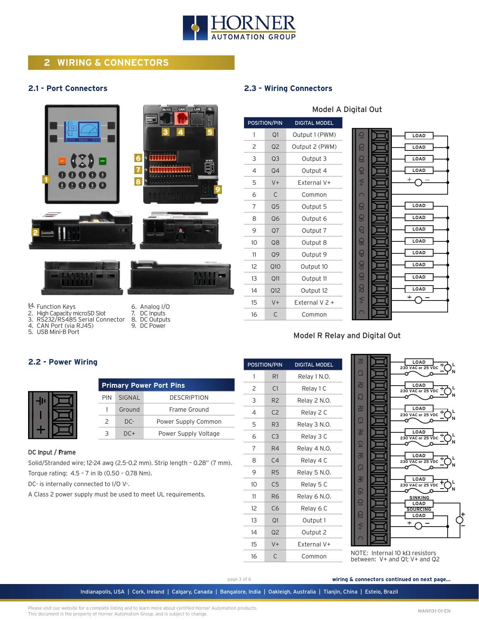

## **2 WIRING & CONNECTORS**

#### **2.1 - Port Connectors**





- 2. High Capacity microSD Slot
- RS232/RS485 Serial Connector
- 4. CAN Port (via RJ45) 5. USB Mini-B Port
- 7. DC Inputs 8. DC Outputs 9. DC Power

6. Analog I/O

## **2.3 - Wiring Connectors**

| POSITION/PIN |                | <b>DIGITAL MODEL</b> |
|--------------|----------------|----------------------|
| 1            | Q1             | Output 1 (PWM)       |
| 2            | O <sub>2</sub> | Output 2 (PWM)       |
| 3            | Q <sub>3</sub> | Output 3             |
| 4            | Q4             | Output 4             |
| 5            | $V +$          | External V+          |
| 6            | C              | Common               |
| 7            | Q <sub>5</sub> | Output 5             |
| 8            | Q6             | Output 6             |
| 9            | O <sub>7</sub> | Output 7             |
| 10           | 08             | Output 8             |
| 11           | Q9             | Output 9             |
| 12           | Q10            | Output 10            |
| 13           | O11            | Output 11            |
| 14           | Q12            | Output 12            |
| 15           | V+             | External V 2 +       |
| 16           | C              | Common               |

### Model A Digital Out



#### Model R Relay and Digital Out

## **2.2 - Power Wiring**

| н |  |
|---|--|
|   |  |

|               | <b>Primary Power Port Pins</b> |                      |  |  |
|---------------|--------------------------------|----------------------|--|--|
| PIN           | SIGNAL                         | <b>DESCRIPTION</b>   |  |  |
| 1             | Ground                         | Frame Ground         |  |  |
| $\mathcal{P}$ | $DC-$                          | Power Supply Common  |  |  |
| २             | $DC+$                          | Power Supply Voltage |  |  |

#### DC Input / Frame

Solid/Stranded wire; 12-24 awg (2.5-0.2 mm). Strip length – 0.28" (7 mm). Torque rating: 4.5 – 7 in lb (0.50 – 0.78 Nm).

DC- is internally connected to I/O V-.

A Class 2 power supply must be used to meet UL requirements.

| POSITION/PIN   |                | <b>DIGITAL MODEL</b> |
|----------------|----------------|----------------------|
| 1              | R <sub>1</sub> | Relay 1 N.O.         |
| 2              | C <sub>1</sub> | Relay 1 C            |
| 3              | R <sub>2</sub> | Relay 2 N.O.         |
| 4              | C <sub>2</sub> | Relay 2 C            |
| 5              | R <sub>3</sub> | Relay 3 N.O.         |
| 6              | C <sub>3</sub> | Relay 3 C            |
| $\overline{7}$ | R4             | Relay 4 N.O.         |
| 8              | C <sub>4</sub> | Relay 4 C            |
| 9              | R5             | Relay 5 N.O.         |
| 10             | C <sub>5</sub> | Relay 5 C            |
| 11             | R <sub>6</sub> | Relay 6 N.O.         |
| 12             | C6             | Relay 6 C            |
| 13             | Q1             | Output 1             |
| 14             | Q <sub>2</sub> | Output 2             |
| 15             | $V +$          | External V+          |
| 16             | C              | Common               |



NOTE: Internal 10 kΩ resistors between: V+ and Q1; V+ and Q2

page 3 of 6

**wiring & connectors continued on next page...**

Indianapolis, USA | Cork, Ireland | Calgary, Canada | Bangalore, India | Oakleigh, Australia | Tianjin, China | Esteio, Brazil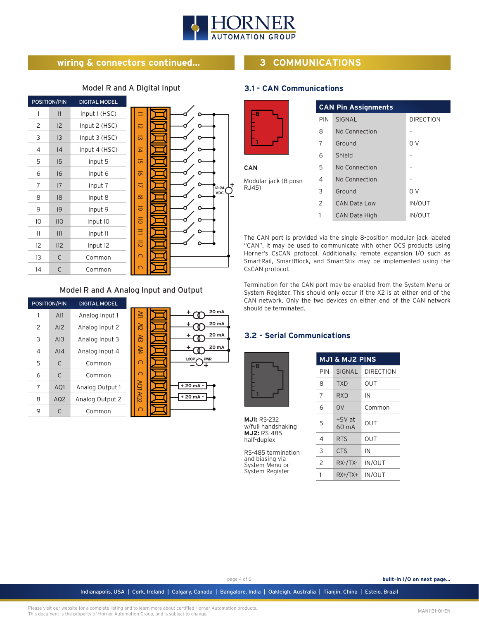

## **wiring & connectors continued...**

## Model R and A Digital Input

|                            | <b>DIGITAL MODEL</b> | POSITION/PIN |    |
|----------------------------|----------------------|--------------|----|
|                            | Input 1 (HSC)        | 1            | 1  |
| $\overline{\mathsf{c}}$    | Input 2 (HSC)        | 12           | 2  |
| $\overline{\omega}$        | Input 3 (HSC)        | 13           | 3  |
| $\overline{4}$             | Input 4 (HSC)        | 4            | 4  |
| G                          | Input 5              | 15           | 5  |
| $\overline{\sigma}$        | Input 6              | 16           | 6  |
| ₹<br>$12 - 24$             | Input 7              | 7            | 7  |
| VDC<br>$\overline{\infty}$ | Input 8              | 18           | 8  |
| ত                          | Input 9              | 9            | 9  |
| $\overline{110}$           | Input 10             | 110          | 10 |
| Ξ                          | Input 11             | 111          | 11 |
| $\overline{5}$             | Input 12             | 112          | 12 |
| ∩                          | Common               | $\mathsf{C}$ | 13 |
|                            | Common               | $\mathsf C$  | 14 |

#### Model R and A Analog Input and Output

|   | <b>POSITION/PIN</b> | <b>DIGITAL MODEL</b> |             |             |
|---|---------------------|----------------------|-------------|-------------|
|   | AI1                 | Analog Input 1       | 르           | 20 mA       |
| 2 | AI2                 | Analog Input 2       | 吊           | 20 mA       |
| 3 | AI3                 | Analog Input 3       | 옮           | 20 mA       |
| 4 | A <sub>14</sub>     | Analog Input 4       | ₩           | 20 mA       |
| 5 | C                   | Common               | റ           | LOOP<br>PWR |
| 6 | C                   | Common               | O           |             |
| 7 | AQ1                 | Analog Output 1      | $XQ1$ $AQ2$ | + 20 mA -   |
| 8 | AQ <sub>2</sub>     | Analog Output 2      |             | $+20mA -$   |
| 9 | C                   | Common               |             |             |

## **3 COMMUNICATIONS**

## **3.1 - CAN Communications**



| CAN                           |  |  |
|-------------------------------|--|--|
| Modular jack (8 posn<br>RJ45) |  |  |

|                | <b>CAN Pin Assignments</b> |                  |
|----------------|----------------------------|------------------|
| PIN            | SIGNAL                     | <b>DIRECTION</b> |
| 8              | No Connection              |                  |
| 7              | Ground                     | 0 V              |
| 6              | Shield                     |                  |
| 5              | No Connection              |                  |
| $\overline{4}$ | No Connection              |                  |
| 3              | Ground                     | 0 V              |
| $\overline{c}$ | CAN Data Low               | <b>IN/OUT</b>    |
|                | <b>CAN Data High</b>       | <b>IN/OUT</b>    |

The CAN port is provided via the single 8-position modular jack labeled "CAN". It may be used to communicate with other OCS products using Horner's CsCAN protocol. Additionally, remote expansion I/O such as SmartRail, SmartBlock, and SmartStix may be implemented using the CsCAN protocol.

Termination for the CAN port may be enabled from the System Menu or System Register. This should only occur if the X2 is at either end of the CAN network. Only the two devices on either end of the CAN network should be terminated.

**MJ1 & MJ2 PINS**

## **3.2 - Serial Communications**

**MJ1:** RS-232 w/full handshaking **MJ2:** RS-485 half-duplex

RS-485 termination and biasing via System Menu or System Register

| MJI & MJZ PINS |                   |                  |  |
|----------------|-------------------|------------------|--|
| PIN            | SIGNAL            | <b>DIRECTION</b> |  |
| 8              | <b>TXD</b>        | <b>OUT</b>       |  |
| 7              | RXD               | IN               |  |
| 6              | 0V                | Common           |  |
| 5              | $+5V$ at<br>60 mA | OUT              |  |
| 4              | <b>RTS</b>        | OUT              |  |
| 3              | <b>CTS</b>        | IN               |  |
| $\overline{c}$ | $RX$ -/TX-        | <b>IN/OUT</b>    |  |
| 1              | $RX+/TX+$         | IN/OUT           |  |

Indianapolis, USA | Cork, Ireland | Calgary, Canada | Bangalore, India | Oakleigh, Australia | Tianjin, China | Esteio, Brazil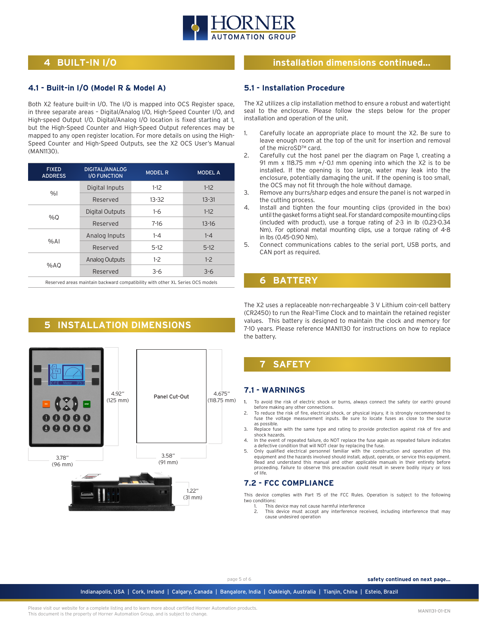

## **4 BUILT-IN I/O**

#### **4.1 - Built-in I/O (Model R & Model A)**

Both X2 feature built-in I/O. The I/O is mapped into OCS Register space, in three separate areas – Digital/Analog I/O, High-Speed Counter I/O, and High-speed Output I/O. Digital/Analog I/O location is fixed starting at 1, but the High-Speed Counter and High-Speed Output references may be mapped to any open register location. For more details on using the High-Speed Counter and High-Speed Outputs, see the X2 OCS User's Manual (MAN1130).

| Digital Inputs<br>Reserved | $1-12$<br>$13 - 32$ | $1-12$    |
|----------------------------|---------------------|-----------|
|                            |                     |           |
|                            |                     | $13 - 31$ |
| Digital Outputs            | $1-6$               | $1-12$    |
| Reserved                   | $7 - 16$            | $13 - 16$ |
| Analog Inputs              | $1 - 4$             | $1 - 4$   |
| Reserved                   | $5-12$              | $5-12$    |
| <b>Analog Outputs</b>      | $1-2$               | $1-2$     |
| Reserved                   | $3 - 6$             | $3 - 6$   |
|                            |                     |           |

Reserved areas maintain backward compatibility with other XL Series OCS models

## **5 INSTALLATION DIMENSIONS**



## **installation dimensions continued...**

#### **5.1 - Installation Procedure**

The X2 utilizes a clip installation method to ensure a robust and watertight seal to the enclosure. Please follow the steps below for the proper installation and operation of the unit.

- 1. Carefully locate an appropriate place to mount the X2. Be sure to leave enough room at the top of the unit for insertion and removal of the microSD™ card.
- 2. Carefully cut the host panel per the diagram on Page 1, creating a 91 mm x 118.75 mm +/-0.1 mm opening into which the X2 is to be installed. If the opening is too large, water may leak into the enclosure, potentially damaging the unit. If the opening is too small, the OCS may not fit through the hole without damage.
- 3. Remove any burrs/sharp edges and ensure the panel is not warped in the cutting process.
- 4. Install and tighten the four mounting clips (provided in the box) until the gasket forms a tight seal. For standard composite mounting clips (included with product), use a torque rating of 2-3 in lb (0.23-0.34 Nm). For optional metal mounting clips, use a torque rating of 4-8 in lbs (0.45-0.90 Nm).
- 5. Connect communications cables to the serial port, USB ports, and CAN port as required.

## **6 BATTERY**

The X2 uses a replaceable non-rechargeable 3 V Lithium coin-cell battery (CR2450) to run the Real-Time Clock and to maintain the retained register values. This battery is designed to maintain the clock and memory for 7-10 years. Please reference MAN1130 for instructions on how to replace the battery.

## **7 SAFETY**

#### **7.1 - WARNINGS**

- 1. To avoid the risk of electric shock or burns, always connect the safety (or earth) ground before making any other connections.
- 2. To reduce the risk of fire, electrical shock, or physical injury, it is strongly recommended to fuse the voltage measurement inputs. Be sure to locate fuses as close to the source as possible.
- 3. Replace fuse with the same type and rating to provide protection against risk of fire and shock hazards.
- 4. In the event of repeated failure, do NOT replace the fuse again as repeated failure indicates a defective condition that will NOT clear by replacing the fuse. 5. Only qualified electrical personnel familiar with the construction and operation of this
- equipment and the hazards involved should install, adjust, operate, or service this equipment. Read and understand this manual and other applicable manuals in their entirety before proceeding. Failure to observe this precaution could result in severe bodily injury or loss of life.

## **7.2 - FCC COMPLIANCE**

This device complies with Part 15 of the FCC Rules. Operation is subject to the following two conditions:

- 1. This device may not cause harmful interference<br>2. This device must accent any interference req
- This device must accept any interference received, including interference that may cause undesired operation

page 5 of 6 **safety continued on next page...**

Indianapolis, USA | Cork, Ireland | Calgary, Canada | Bangalore, India | Oakleigh, Australia | Tianjin, China | Esteio, Brazil